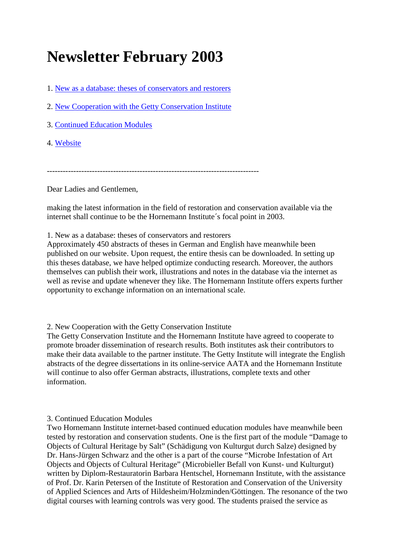## **Newsletter February 2003**

1. [New as a database: theses of conservators and restorers](https://www.hornemann-institut.de/english/newsletter_febr_03.php#1)

2. [New Cooperation with the Getty Conservation Institute](https://www.hornemann-institut.de/english/newsletter_febr_03.php#2)

3. [Continued Education Modules](https://www.hornemann-institut.de/english/newsletter_febr_03.php#3)

4. [Website](https://www.hornemann-institut.de/english/newsletter_febr_03.php#4)

--------------------------------------------------------------------------------

Dear Ladies and Gentlemen,

making the latest information in the field of restoration and conservation available via the internet shall continue to be the Hornemann Institute´s focal point in 2003.

1. New as a database: theses of conservators and restorers

Approximately 450 abstracts of theses in German and English have meanwhile been published on our website. Upon request, the entire thesis can be downloaded. In setting up this theses database, we have helped optimize conducting research. Moreover, the authors themselves can publish their work, illustrations and notes in the database via the internet as well as revise and update whenever they like. The Hornemann Institute offers experts further opportunity to exchange information on an international scale.

2. New Cooperation with the Getty Conservation Institute

The Getty Conservation Institute and the Hornemann Institute have agreed to cooperate to promote broader dissemination of research results. Both institutes ask their contributors to make their data available to the partner institute. The Getty Institute will integrate the English abstracts of the degree dissertations in its online-service AATA and the Hornemann Institute will continue to also offer German abstracts, illustrations, complete texts and other information.

## 3. Continued Education Modules

Two Hornemann Institute internet-based continued education modules have meanwhile been tested by restoration and conservation students. One is the first part of the module "Damage to Objects of Cultural Heritage by Salt" (Schädigung von Kulturgut durch Salze) designed by Dr. Hans-Jürgen Schwarz and the other is a part of the course "Microbe Infestation of Art Objects and Objects of Cultural Heritage" (Microbieller Befall von Kunst- und Kulturgut) written by Diplom-Restauratorin Barbara Hentschel, Hornemann Institute, with the assistance of Prof. Dr. Karin Petersen of the Institute of Restoration and Conservation of the University of Applied Sciences and Arts of Hildesheim/Holzminden/Göttingen. The resonance of the two digital courses with learning controls was very good. The students praised the service as